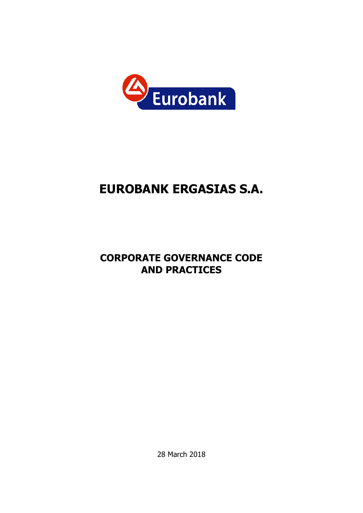

# **EUROBANK ERGASIΑS S.A.**

# **CORPORATE GOVERNANCE CODE AND PRACTICES**

28 March 2018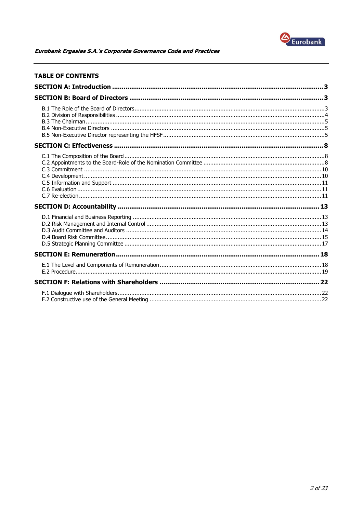

| <b>TABLE OF CONTENTS</b> |  |
|--------------------------|--|
|                          |  |
|                          |  |
|                          |  |
|                          |  |
|                          |  |
|                          |  |
|                          |  |
|                          |  |
|                          |  |
|                          |  |
|                          |  |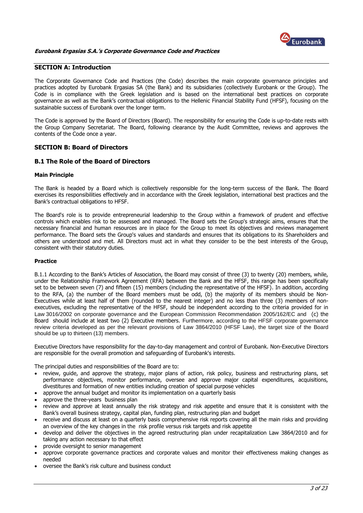

### <span id="page-2-0"></span>**SECTION A: Introduction**

The Corporate Governance Code and Practices (the Code) describes the main corporate governance principles and practices adopted by Eurobank Ergasias SA (the Bank) and its subsidiaries (collectively Eurobank or the Group). The Code is in compliance with the Greek legislation and is based on the international best practices on corporate governance as well as the Bank's contractual obligations to the Hellenic Financial Stability Fund (HFSF), focusing on the sustainable success of Eurobank over the longer term.

The Code is approved by the Board of Directors (Board). The responsibility for ensuring the Code is up-to-date rests with the Group Company Secretariat. The Board, following clearance by the Audit Committee, reviews and approves the contents of the Code once a year.

# <span id="page-2-1"></span>**SECTION B: Board of Directors**

#### <span id="page-2-2"></span>**B.1 The Role of the Board of Directors**

#### **Main Principle**

The Bank is headed by a Board which is collectively responsible for the long-term success of the Bank. The Board exercises its responsibilities effectively and in accordance with the Greek legislation, international best practices and the Bank's contractual obligations to HFSF.

The Board's role is to provide entrepreneurial leadership to the Group within a framework of prudent and effective controls which enables risk to be assessed and managed. The Board sets the Group's strategic aims, ensures that the necessary financial and human resources are in place for the Group to meet its objectives and reviews management performance. The Board sets the Group's values and standards and ensures that its obligations to its Shareholders and others are understood and met. All Directors must act in what they consider to be the best interests of the Group, consistent with their statutory duties.

#### **Practice**

B.1.1 According to the Bank's Articles of Association, the Board may consist of three (3) to twenty (20) members, while, under the Relationship Framework Agreement (RFA) between the Bank and the HFSF, this range has been specifically set to be between seven (7) and fifteen (15) members (including the representative of the HFSF). In addition, according to the RFA, (a) the number of the Board members must be odd, (b) the majority of its members should be Non-Executives while at least half of them (rounded to the nearest integer) and no less than three (3) members of nonexecutives, excluding the representative of the HFSF, should be independent according to the criteria provided for in Law 3016/2002 on corporate governance and the European Commission Recommendation 2005/162/EC and (c) the Board should include at least two (2) Executive members. Furthermore, according to the HFSF corporate governance review criteria developed as per the relevant provisions of Law 3864/2010 (HFSF Law), the target size of the Board should be up to thirteen (13) members.

Executive Directors have responsibility for the day-to-day management and control of Eurobank. Non-Executive Directors are responsible for the overall promotion and safeguarding of Eurobank's interests.

The principal duties and responsibilities of the Board are to:

- review, guide, and approve the strategy, major plans of action, risk policy, business and restructuring plans, set performance objectives, monitor performance, oversee and approve major capital expenditures, acquisitions, divestitures and formation of new entities including creation of special purpose vehicles
- approve the annual budget and monitor its implementation on a quarterly basis
- approve the three-years business plan
- review and approve at least annually the risk strategy and risk appetite and ensure that it is consistent with the Bank's overall business strategy, capital plan, funding plan, restructuring plan and budget
- receive and discuss at least on a quarterly basis comprehensive risk reports covering all the main risks and providing an overview of the key changes in the risk profile versus risk targets and risk appetite
- develop and deliver the objectives in the agreed restructuring plan under recapitalization Law 3864/2010 and for taking any action necessary to that effect
- provide oversight to senior management
- approve corporate governance practices and corporate values and monitor their effectiveness making changes as needed
- oversee the Bank's risk culture and business conduct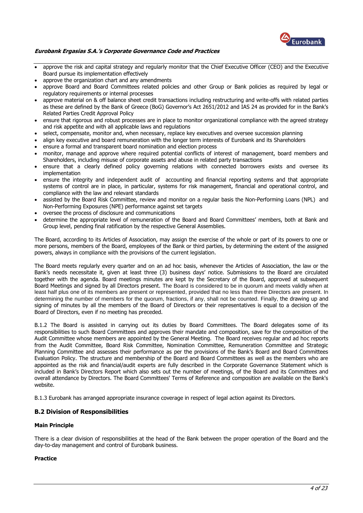

- approve the risk and capital strategy and regularly monitor that the Chief Executive Officer (CEO) and the Executive Board pursue its implementation effectively
- approve the organization chart and any amendments
- approve Board and Board Committees related policies and other Group or Bank policies as required by legal or regulatory requirements or internal processes
- approve material on & off balance sheet credit transactions including restructuring and write-offs with related parties as these are defined by the Bank of Greece (BoG) Governor's Act 2651/2012 and IAS 24 as provided for in the Bank's Related Parties Credit Approval Policy
- ensure that rigorous and robust processes are in place to monitor organizational compliance with the agreed strategy and risk appetite and with all applicable laws and regulations
- select, compensate, monitor and, when necessary, replace key executives and oversee succession planning
- align key executive and board remuneration with the longer term interests of Eurobank and its Shareholders
- ensure a formal and transparent board nomination and election process
- monitor, manage and approve where required potential conflicts of interest of management, board members and Shareholders, including misuse of corporate assets and abuse in related party transactions
- ensure that a clearly defined policy governing relations with connected borrowers exists and oversee its implementation
- ensure the integrity and independent audit of accounting and financial reporting systems and that appropriate systems of control are in place, in particular, systems for risk management, financial and operational control, and compliance with the law and relevant standards
- assisted by the Board Risk Committee, review and monitor on a regular basis the Non-Performing Loans (NPL) and Non-Performing Exposures (NPE) performance against set targets
- oversee the process of disclosure and communications
- determine the appropriate level of remuneration of the Board and Board Committees' members, both at Bank and Group level, pending final ratification by the respective General Assemblies.

The Board, according to its Articles of Association, may assign the exercise of the whole or part of its powers to one or more persons, members of the Board, employees of the Bank or third parties, by determining the extent of the assigned powers, always in compliance with the provisions of the current legislation.

The Board meets regularly every quarter and on an ad hoc basis, whenever the Articles of Association, the law or the Bank's needs necessitate it, given at least three (3) business days' notice. Submissions to the Board are circulated together with the agenda. Board meetings minutes are kept by the Secretary of the Board, approved at subsequent Board Meetings and signed by all Directors present. The Board is considered to be in quorum and meets validly when at least half plus one of its members are present or represented, provided that no less than three Directors are present. In determining the number of members for the quorum, fractions, if any, shall not be counted. Finally, the drawing up and signing of minutes by all the members of the Board of Directors or their representatives is equal to a decision of the Board of Directors, even if no meeting has preceded.

B.1.2 The Board is assisted in carrying out its duties by Board Committees. The Board delegates some of its responsibilities to such Board Committees and approves their mandate and composition, save for the composition of the Audit Committee whose members are appointed by the General Meeting. The Board receives regular and ad hoc reports from the Audit Committee, Board Risk Committee, Nomination Committee, Remuneration Committee and Strategic Planning Committee and assesses their performance as per the provisions of the Bank's Board and Board Committees Evaluation Policy. The structure and membership of the Board and Board Committees as well as the members who are appointed as the risk and financial/audit experts are fully described in the Corporate Governance Statement which is included in Bank's Directors Report which also sets out the number of meetings, of the Board and its Committees and overall attendance by Directors. The Board Committees' Terms of Reference and composition are available on the Bank's website.

B.1.3 Eurobank has arranged appropriate insurance coverage in respect of legal action against its Directors.

# <span id="page-3-0"></span>**B.2 Division of Responsibilities**

#### **Main Principle**

There is a clear division of responsibilities at the head of the Bank between the proper operation of the Board and the day-to-day management and control of Eurobank business.

#### **Practice**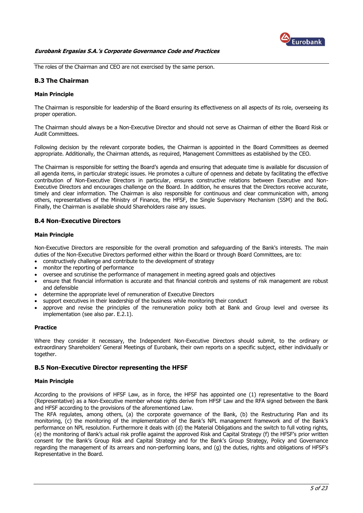

The roles of the Chairman and CEO are not exercised by the same person.

# <span id="page-4-0"></span>**B.3 The Chairman**

#### **Main Principle**

The Chairman is responsible for leadership of the Board ensuring its effectiveness on all aspects of its role, overseeing its proper operation.

The Chairman should always be a Non-Executive Director and should not serve as Chairman of either the Board Risk or Audit Committees.

Following decision by the relevant corporate bodies, the Chairman is appointed in the Board Committees as deemed appropriate. Additionally, the Chairman attends, as required, Management Committees as established by the CEO.

The Chairman is responsible for setting the Board's agenda and ensuring that adequate time is available for discussion of all agenda items, in particular strategic issues. He promotes a culture of openness and debate by facilitating the effective contribution of Non-Executive Directors in particular, ensures constructive relations between Executive and Non-Executive Directors and encourages challenge on the Board. In addition, he ensures that the Directors receive accurate, timely and clear information. The Chairman is also responsible for continuous and clear communication with, among others, representatives of the Ministry of Finance, the HFSF, the Single Supervisory Mechanism (SSM) and the BoG. Finally, the Chairman is available should Shareholders raise any issues.

# <span id="page-4-1"></span>**B.4 Non-Executive Directors**

#### **Main Principle**

Non-Executive Directors are responsible for the overall promotion and safeguarding of the Bank's interests. The main duties of the Non-Executive Directors performed either within the Board or through Board Committees, are to:

- constructively challenge and contribute to the development of strategy
- monitor the reporting of performance
- oversee and scrutinise the performance of management in meeting agreed goals and objectives
- ensure that financial information is accurate and that financial controls and systems of risk management are robust and defensible
- determine the appropriate level of remuneration of Executive Directors
- support executives in their leadership of the business while monitoring their conduct
- approve and revise the principles of the remuneration policy both at Bank and Group level and oversee its implementation (see also par. E.2.1).

#### **Practice**

Where they consider it necessary, the Independent Non-Executive Directors should submit, to the ordinary or extraordinary Shareholders' General Meetings of Eurobank, their own reports on a specific subject, either individually or together.

#### <span id="page-4-2"></span>**B.5 Non-Executive Director representing the HFSF**

#### **Main Principle**

According to the provisions of HFSF Law, as in force, the HFSF has appointed one (1) representative to the Board (Representative) as a Non-Executive member whose rights derive from HFSF Law and the RFA signed between the Bank and HFSF according to the provisions of the aforementioned Law.

The RFA regulates, among others, (a) the corporate governance of the Bank, (b) the Restructuring Plan and its monitoring, (c) the monitoring of the implementation of the Bank's NPL management framework and of the Bank's performance on NPL resolution. Furthermore it deals with (d) the Material Obligations and the switch to full voting rights, (e) the monitoring of Bank's actual risk profile against the approved Risk and Capital Strategy (f) the HFSF's prior written consent for the Bank's Group Risk and Capital Strategy and for the Bank's Group Strategy, Policy and Governance regarding the management of its arrears and non-performing loans, and (g) the duties, rights and obligations of HFSF's Representative in the Board.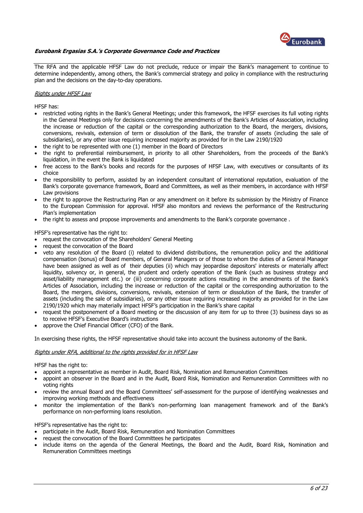

The RFA and the applicable HFSF Law do not preclude, reduce or impair the Bank's management to continue to determine independently, among others, the Bank's commercial strategy and policy in compliance with the restructuring plan and the decisions on the day-to-day operations.

#### Rights under HFSF Law

HFSF has:

- restricted voting rights in the Bank's General Meetings; under this framework, the HFSF exercises its full voting rights in the General Meetings only for decisions concerning the amendments of the Bank's Articles of Association, including the increase or reduction of the capital or the corresponding authorization to the Board, the mergers, divisions, conversions, revivals, extension of term or dissolution of the Bank, the transfer of assets (including the sale of subsidiaries), or any other issue requiring increased majority as provided for in the Law 2190/1920
- the right to be represented with one (1) member in the Board of Directors
- the right to preferential reimbursement, in priority to all other Shareholders, from the proceeds of the Bank's liquidation, in the event the Bank is liquidated
- free access to the Bank's books and records for the purposes of HFSF Law, with executives or consultants of its choice
- the responsibility to perform, assisted by an independent consultant of international reputation, evaluation of the Bank's corporate governance framework, Board and Committees, as well as their members, in accordance with HFSF Law provisions
- the right to approve the Restructuring Plan or any amendment on it before its submission by the Ministry of Finance to the European Commission for approval. HFSF also monitors and reviews the performance of the Restructuring Plan's implementation
- the right to assess and propose improvements and amendments to the Bank's corporate governance.

HFSF's representative has the right to:

- request the convocation of the Shareholders' General Meeting
- request the convocation of the Board
- veto any resolution of the Board (i) related to dividend distributions, the remuneration policy and the additional compensation (bonus) of Board members, of General Managers or of those to whom the duties of a General Manager have been assigned as well as of their deputies (ii) which may jeopardise depositors' interests or materially affect liquidity, solvency or, in general, the prudent and orderly operation of the Bank (such as business strategy and asset/liability management etc.) or (iii) concerning corporate actions resulting in the amendments of the Bank's Articles of Association, including the increase or reduction of the capital or the corresponding authorization to the Board, the mergers, divisions, conversions, revivals, extension of term or dissolution of the Bank, the transfer of assets (including the sale of subsidiaries), or any other issue requiring increased majority as provided for in the Law 2190/1920 which may materially impact HFSF's participation in the Bank's share capital
- request the postponement of a Board meeting or the discussion of any item for up to three (3) business days so as to receive HFSF's Executive Board's instructions
- approve the Chief Financial Officer (CFO) of the Bank.

In exercising these rights, the HFSF representative should take into account the business autonomy of the Bank.

#### Rights under RFA, additional to the rights provided for in HFSF Law

HFSF has the right to:

- appoint a representative as member in Audit, Board Risk, Nomination and Remuneration Committees
- appoint an observer in the Board and in the Audit, Board Risk, Nomination and Remuneration Committees with no voting rights
- review the annual Board and the Board Committees' self-assessment for the purpose of identifying weaknesses and improving working methods and effectiveness
- monitor the implementation of the Bank's non-performing loan management framework and of the Bank's performance on non-performing loans resolution.

HFSF's representative has the right to:

- participate in the Audit, Board Risk, Remuneration and Nomination Committees
- request the convocation of the Board Committees he participates
- include items on the agenda of the General Meetings, the Board and the Audit, Board Risk, Nomination and Remuneration Committees meetings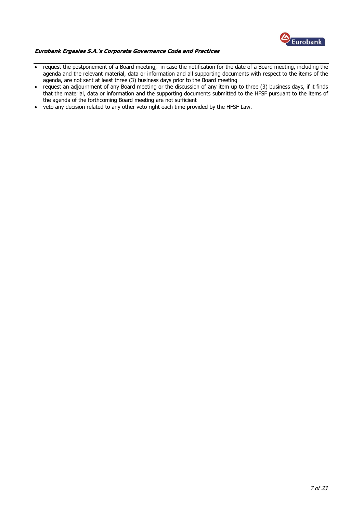

- request the postponement of a Board meeting, in case the notification for the date of a Board meeting, including the agenda and the relevant material, data or information and all supporting documents with respect to the items of the agenda, are not sent at least three (3) business days prior to the Board meeting
- request an adjournment of any Board meeting or the discussion of any item up to three (3) business days, if it finds that the material, data or information and the supporting documents submitted to the HFSF pursuant to the items of the agenda of the forthcoming Board meeting are not sufficient
- veto any decision related to any other veto right each time provided by the HFSF Law.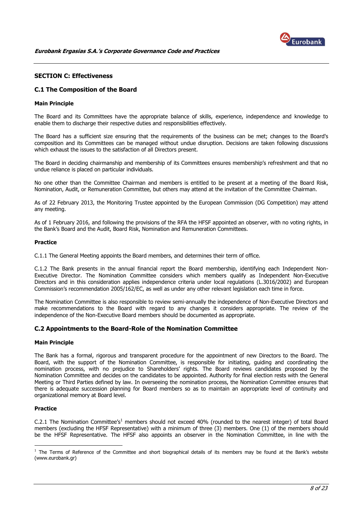

# <span id="page-7-0"></span>**SECTION C: Effectiveness**

# <span id="page-7-1"></span>**C.1 The Composition of the Board**

#### **Main Principle**

The Board and its Committees have the appropriate balance of skills, experience, independence and knowledge to enable them to discharge their respective duties and responsibilities effectively.

The Board has a sufficient size ensuring that the requirements of the business can be met; changes to the Board's composition and its Committees can be managed without undue disruption. Decisions are taken following discussions which exhaust the issues to the satisfaction of all Directors present.

The Board in deciding chairmanship and membership of its Committees ensures membership's refreshment and that no undue reliance is placed on particular individuals.

No one other than the Committee Chairman and members is entitled to be present at a meeting of the Board Risk, Nomination, Audit, or Remuneration Committee, but others may attend at the invitation of the Committee Chairman.

As of 22 February 2013, the Monitoring Trustee appointed by the European Commission (DG Competition) may attend any meeting.

As of 1 February 2016, and following the provisions of the RFA the HFSF appointed an observer, with no voting rights, in the Bank's Board and the Audit, Board Risk, Nomination and Remuneration Committees.

#### **Practice**

C.1.1 The General Meeting appoints the Board members, and determines their term of office.

C.1.2 The Bank presents in the annual financial report the Board membership, identifying each Independent Non-Executive Director. The Nomination Committee considers which members qualify as Independent Non-Executive Directors and in this consideration applies independence criteria under local regulations (L.3016/2002) and European Commission's recommendation 2005/162/EC, as well as under any other relevant legislation each time in force.

The Nomination Committee is also responsible to review semi-annually the independence of Non-Executive Directors and make recommendations to the Board with regard to any changes it considers appropriate. The review of the independence of the Non-Executive Board members should be documented as appropriate.

#### <span id="page-7-2"></span>**C.2 Appointments to the Board-Role of the Nomination Committee**

#### **Main Principle**

The Bank has a formal, rigorous and transparent procedure for the appointment of new Directors to the Board. The Board, with the support of the Nomination Committee, is responsible for initiating, guiding and coordinating the nomination process, with no prejudice to Shareholders' rights. The Board reviews candidates proposed by the Nomination Committee and decides on the candidates to be appointed. Authority for final election rests with the General Meeting or Third Parties defined by law. In overseeing the nomination process, the Nomination Committee ensures that there is adequate succession planning for Board members so as to maintain an appropriate level of continuity and organizational memory at Board level.

#### **Practice**

<u>.</u>

C.2.1 The Nomination Committee's<sup>1</sup> members should not exceed 40% (rounded to the nearest integer) of total Board members (excluding the HFSF Representative) with a minimum of three (3) members. One (1) of the members should be the HFSF Representative. The HFSF also appoints an observer in the Nomination Committee, in line with the

 $<sup>1</sup>$  The Terms of Reference of the Committee and short biographical details of its members may be found at the Bank's website</sup> (www.eurobank.gr)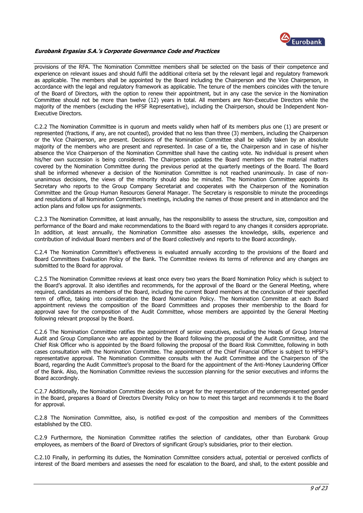

provisions of the RFA. The Nomination Committee members shall be selected on the basis of their competence and experience on relevant issues and should fulfil the additional criteria set by the relevant legal and regulatory framework as applicable. The members shall be appointed by the Board including the Chairperson and the Vice Chairperson, in accordance with the legal and regulatory framework as applicable. The tenure of the members coincides with the tenure of the Board of Directors, with the option to renew their appointment, but in any case the service in the Nomination Committee should not be more than twelve (12) years in total. All members are Non-Executive Directors while the majority of the members (excluding the HFSF Representative), including the Chairperson, should be Independent Non-Executive Directors.

C.2.2 The Nomination Committee is in quorum and meets validly when half of its members plus one (1) are present or represented (fractions, if any, are not counted), provided that no less than three (3) members, including the Chairperson or the Vice Chairperson, are present. Decisions of the Nomination Committee shall be validly taken by an absolute majority of the members who are present and represented. In case of a tie, the Chairperson and in case of his/her absence the Vice Chairperson of the Nomination Committee shall have the casting vote. No individual is present when his/her own succession is being considered. The Chairperson updates the Board members on the material matters covered by the Nomination Committee during the previous period at the quarterly meetings of the Board. The Board shall be informed whenever a decision of the Nomination Committee is not reached unanimously. In case of nonunanimous decisions, the views of the minority should also be minuted. The Nomination Committee appoints its Secretary who reports to the Group Company Secretariat and cooperates with the Chairperson of the Nomination Committee and the Group Human Resources General Manager. The Secretary is responsible to minute the proceedings and resolutions of all Nomination Committee's meetings, including the names of those present and in attendance and the action plans and follow ups for assignments.

C.2.3 The Nomination Committee, at least annually, has the responsibility to assess the structure, size, composition and performance of the Board and make recommendations to the Board with regard to any changes it considers appropriate. In addition, at least annually, the Nomination Committee also assesses the knowledge, skills, experience and contribution of individual Board members and of the Board collectively and reports to the Board accordingly.

C.2.4 The Nomination Committee's effectiveness is evaluated annually according to the provisions of the Board and Board Committees Evaluation Policy of the Bank. The Committee reviews its terms of reference and any changes are submitted to the Board for approval.

C.2.5 The Nomination Committee reviews at least once every two years the Board Nomination Policy which is subject to the Board's approval. It also identifies and recommends, for the approval of the Board or the General Meeting, where required, candidates as members of the Board, including the current Board members at the conclusion of their specified term of office, taking into consideration the Board Nomination Policy. The Nomination Committee at each Board appointment reviews the composition of the Board Committees and proposes their membership to the Board for approval save for the composition of the Audit Committee, whose members are appointed by the General Meeting following relevant proposal by the Board.

C.2.6 The Nomination Committee ratifies the appointment of senior executives, excluding the Heads of Group Internal Audit and Group Compliance who are appointed by the Board following the proposal of the Audit Committee, and the Chief Risk Officer who is appointed by the Board following the proposal of the Board Risk Committee, following in both cases consultation with the Nomination Committee. The appointment of the Chief Financial Officer is subject to HFSF's representative approval. The Nomination Committee consults with the Audit Committee and the Chairperson of the Board, regarding the Audit Committee's proposal to the Board for the appointment of the Anti-Money Laundering Officer of the Bank. Also, the Nomination Committee reviews the succession planning for the senior executives and informs the Board accordingly.

C.2.7 Additionally, the Nomination Committee decides on a target for the representation of the underrepresented gender in the Board, prepares a Board of Directors Diversity Policy on how to meet this target and recommends it to the Board for approval.

C.2.8 The Nomination Committee, also, is notified ex-post of the composition and members of the Committees established by the CEO.

C.2.9 Furthermore, the Nomination Committee ratifies the selection of candidates, other than Eurobank Group employees, as members of the Board of Directors of significant Group's subsidiaries, prior to their election.

C.2.10 Finally, in performing its duties, the Nomination Committee considers actual, potential or perceived conflicts of interest of the Board members and assesses the need for escalation to the Board, and shall, to the extent possible and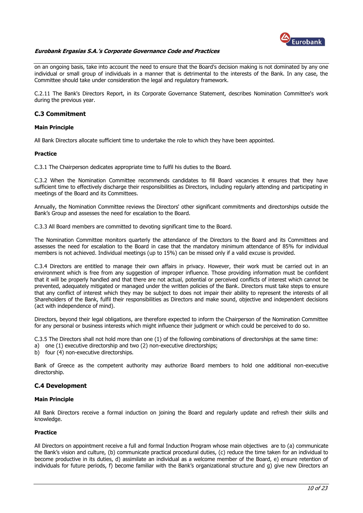

on an ongoing basis, take into account the need to ensure that the Board's decision making is not dominated by any one individual or small group of individuals in a manner that is detrimental to the interests of the Bank. In any case, the Committee should take under consideration the legal and regulatory framework.

C.2.11 The Bank's Directors Report, in its Corporate Governance Statement, describes Nomination Committee's work during the previous year.

#### <span id="page-9-0"></span>**C.3 Commitment**

#### **Main Principle**

All Bank Directors allocate sufficient time to undertake the role to which they have been appointed.

#### **Practice**

C.3.1 The Chairperson dedicates appropriate time to fulfil his duties to the Board.

C.3.2 When the Nomination Committee recommends candidates to fill Board vacancies it ensures that they have sufficient time to effectively discharge their responsibilities as Directors, including regularly attending and participating in meetings of the Board and its Committees.

Annually, the Nomination Committee reviews the Directors' other significant commitments and directorships outside the Bank's Group and assesses the need for escalation to the Board.

C.3.3 All Board members are committed to devoting significant time to the Board.

The Nomination Committee monitors quarterly the attendance of the Directors to the Board and its Committees and assesses the need for escalation to the Board in case that the mandatory minimum attendance of 85% for individual members is not achieved. Individual meetings (up to 15%) can be missed only if a valid excuse is provided.

C.3.4 Directors are entitled to manage their own affairs in privacy. However, their work must be carried out in an environment which is free from any suggestion of improper influence. Those providing information must be confident that it will be properly handled and that there are not actual, potential or perceived conflicts of interest which cannot be prevented, adequately mitigated or managed under the written policies of the Bank. Directors must take steps to ensure that any conflict of interest which they may be subject to does not impair their ability to represent the interests of all Shareholders of the Bank, fulfil their responsibilities as Directors and make sound, objective and independent decisions (act with independence of mind).

Directors, beyond their legal obligations, are therefore expected to inform the Chairperson of the Nomination Committee for any personal or business interests which might influence their judgment or which could be perceived to do so.

C.3.5 The Directors shall not hold more than one (1) of the following combinations of directorships at the same time:

- a) one (1) executive directorship and two (2) non-executive directorships;
- b) four (4) non-executive directorships.

Bank of Greece as the competent authority may authorize Board members to hold one additional non-executive directorship.

#### <span id="page-9-1"></span>**C.4 Development**

#### **Main Principle**

All Βank Directors receive a formal induction on joining the Board and regularly update and refresh their skills and knowledge.

#### **Practice**

All Directors on appointment receive a full and formal Induction Program whose main objectives are to (a) communicate the Bank's vision and culture, (b) communicate practical procedural duties, (c) reduce the time taken for an individual to become productive in its duties, d) assimilate an individual as a welcome member of the Board, e) ensure retention of individuals for future periods, f) become familiar with the Bank's organizational structure and g) give new Directors an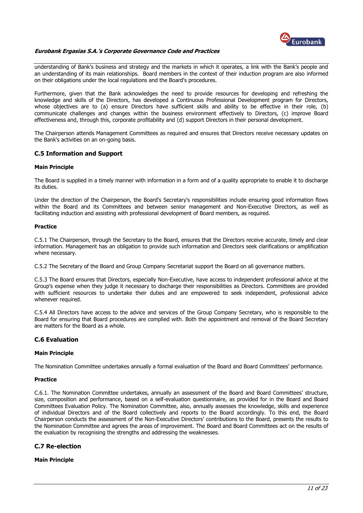

understanding of Bank's business and strategy and the markets in which it operates, a link with the Bank's people and an understanding of its main relationships. Board members in the context of their induction program are also informed on their obligations under the local regulations and the Board's procedures.

Furthermore, given that the Bank acknowledges the need to provide resources for developing and refreshing the knowledge and skills of the Directors, has developed a Continuous Professional Development program for Directors, whose objectives are to (a) ensure Directors have sufficient skills and ability to be effective in their role, (b) communicate challenges and changes within the business environment effectively to Directors, (c) improve Board effectiveness and, through this, corporate profitability and (d) support Directors in their personal development.

The Chairperson attends Management Committees as required and ensures that Directors receive necessary updates on the Bank's activities on an on-going basis.

# <span id="page-10-0"></span>**C.5 Information and Support**

#### **Main Principle**

The Board is supplied in a timely manner with information in a form and of a quality appropriate to enable it to discharge its duties.

Under the direction of the Chairperson, the Board's Secretary's responsibilities include ensuring good information flows within the Board and its Committees and between senior management and Non-Executive Directors, as well as facilitating induction and assisting with professional development of Board members, as required.

#### **Practice**

C.5.1 The Chairperson, through the Secretary to the Board, ensures that the Directors receive accurate, timely and clear information. Management has an obligation to provide such information and Directors seek clarifications or amplification where necessary.

C.5.2 The Secretary of the Board and Group Company Secretariat support the Board on all governance matters.

C.5.3 The Board ensures that Directors, especially Non-Executive, have access to independent professional advice at the Group's expense when they judge it necessary to discharge their responsibilities as Directors. Committees are provided with sufficient resources to undertake their duties and are empowered to seek independent, professional advice whenever required.

C.5.4 All Directors have access to the advice and services of the Group Company Secretary, who is responsible to the Board for ensuring that Board procedures are complied with. Both the appointment and removal of the Board Secretary are matters for the Board as a whole.

# <span id="page-10-1"></span>**C.6 Evaluation**

#### **Main Principle**

The Nomination Committee undertakes annually a formal evaluation of the Board and Board Committees' performance.

#### **Practice**

C.6.1. The Nomination Committee undertakes, annually an assessment of the Board and Board Committees' structure, size, composition and performance, based on a self-evaluation questionnaire, as provided for in the Board and Board Committees Evaluation Policy. The Nomination Committee, also, annually assesses the knowledge, skills and experience of individual Directors and of the Board collectively and reports to the Board accordingly. To this end, the Board Chairperson conducts the assessment of the Non-Executive Directors' contributions to the Board, presents the results to the Nomination Committee and agrees the areas of improvement. The Board and Board Committees act on the results of the evaluation by recognising the strengths and addressing the weaknesses.

#### <span id="page-10-2"></span>**C.7 Re-election**

#### **Main Principle**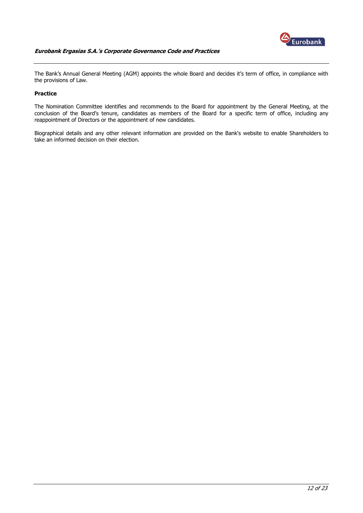

The Bank's Annual General Meeting (AGM) appoints the whole Board and decides it's term of office, in compliance with the provisions of Law.

# **Practice**

The Nomination Committee identifies and recommends to the Board for appointment by the General Meeting, at the conclusion of the Board's tenure, candidates as members of the Board for a specific term of office, including any reappointment of Directors or the appointment of new candidates.

Biographical details and any other relevant information are provided on the Bank's website to enable Shareholders to take an informed decision on their election.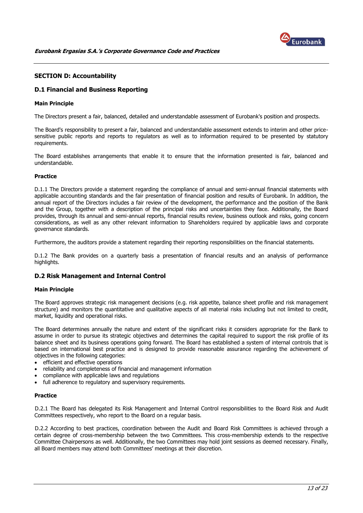

# <span id="page-12-0"></span>**SECTION D: Accountability**

# <span id="page-12-1"></span>**D.1 Financial and Business Reporting**

#### **Main Principle**

The Directors present a fair, balanced, detailed and understandable assessment of Eurobank's position and prospects.

The Board's responsibility to present a fair, balanced and understandable assessment extends to interim and other pricesensitive public reports and reports to regulators as well as to information required to be presented by statutory requirements.

The Board establishes arrangements that enable it to ensure that the information presented is fair, balanced and understandable.

#### **Practice**

D.1.1 The Directors provide a statement regarding the compliance of annual and semi-annual financial statements with applicable accounting standards and the fair presentation of financial position and results of Eurobank. In addition, the annual report of the Directors includes a fair review of the development, the performance and the position of the Bank and the Group, together with a description of the principal risks and uncertainties they face. Additionally, the Board provides, through its annual and semi-annual reports, financial results review, business outlook and risks, going concern considerations, as well as any other relevant information to Shareholders required by applicable laws and corporate governance standards.

Furthermore, the auditors provide a statement regarding their reporting responsibilities on the financial statements.

D.1.2 The Bank provides on a quarterly basis a presentation of financial results and an analysis of performance highlights.

# <span id="page-12-2"></span>**D.2 Risk Management and Internal Control**

#### **Main Principle**

The Board approves strategic risk management decisions (e.g. risk appetite, balance sheet profile and risk management structure) and monitors the quantitative and qualitative aspects of all material risks including but not limited to credit, market, liquidity and operational risks.

The Board determines annually the nature and extent of the significant risks it considers appropriate for the Bank to assume in order to pursue its strategic objectives and determines the capital required to support the risk profile of its balance sheet and its business operations going forward. The Board has established a system of internal controls that is based on international best practice and is designed to provide reasonable assurance regarding the achievement of objectives in the following categories:

- efficient and effective operations
- reliability and completeness of financial and management information
- compliance with applicable laws and regulations
- full adherence to regulatory and supervisory requirements.

#### **Practice**

D.2.1 The Board has delegated its Risk Management and Internal Control responsibilities to the Board Risk and Audit Committees respectively, who report to the Board on a regular basis.

D.2.2 According to best practices, coordination between the Audit and Board Risk Committees is achieved through a certain degree of cross-membership between the two Committees. This cross-membership extends to the respective Committee Chairpersons as well. Additionally, the two Committees may hold joint sessions as deemed necessary. Finally, all Board members may attend both Committees' meetings at their discretion.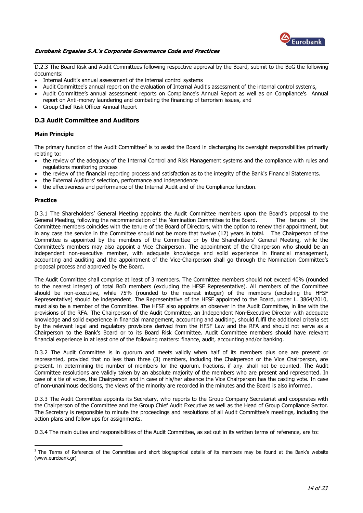

D.2.3 The Board Risk and Audit Committees following respective approval by the Board, submit to the BoG the following documents:

- Internal Audit's annual assessment of the internal control systems
- Audit Committee's annual report on the evaluation of Internal Audit's assessment of the internal control systems,
- Audit Committee's annual assessment reports on Compliance's Annual Report as well as on Compliance's Annual report on Anti-money laundering and combating the financing of terrorism issues, and
- Group Chief Risk Officer Annual Report

# <span id="page-13-0"></span>**D.3 Audit Committee and Auditors**

#### **Main Principle**

The primary function of the Audit Committee<sup>2</sup> is to assist the Board in discharging its oversight responsibilities primarily relating to:

- the review of the adequacy of the Internal Control and Risk Management systems and the compliance with rules and regulations monitoring process
- the review of the financial reporting process and satisfaction as to the integrity of the Bank's Financial Statements.
- the External Auditors' selection, performance and independence
- the effectiveness and performance of the Internal Audit and of the Compliance function.

#### **Practice**

<u>.</u>

D.3.1 The Shareholders' General Meeting appoints the Audit Committee members upon the Board's proposal to the General Meeting, following the recommendation of the Nomination Committee to the Board. The tenure of the Committee members coincides with the tenure of the Board of Directors, with the option to renew their appointment, but in any case the service in the Committee should not be more that twelve (12) years in total. The Chairperson of the Committee is appointed by the members of the Committee or by the Shareholders' General Meeting, while the Committee's members may also appoint a Vice Chairperson. The appointment of the Chairperson who should be an independent non-executive member, with adequate knowledge and solid experience in financial management, accounting and auditing and the appointment of the Vice-Chairperson shall go through the Nomination Committee's proposal process and approved by the Board.

The Audit Committee shall comprise at least of 3 members. The Committee members should not exceed 40% (rounded to the nearest integer) of total BoD members (excluding the HFSF Representative). All members of the Committee should be non-executive, while 75% (rounded to the nearest integer) of the members (excluding the HFSF Representative) should be independent. The Representative of the HFSF appointed to the Board, under L. 3864/2010, must also be a member of the Committee. The HFSF also appoints an observer in the Audit Committee, in line with the provisions of the RFA. The Chairperson of the Audit Committee, an Independent Non-Executive Director with adequate knowledge and solid experience in financial management, accounting and auditing, should fulfil the additional criteria set by the relevant legal and regulatory provisions derived from the HFSF Law and the RFA and should not serve as a Chairperson to the Bank's Board or to its Board Risk Committee. Audit Committee members should have relevant financial experience in at least one of the following matters: finance, audit, accounting and/or banking.

D.3.2 The Audit Committee is in quorum and meets validly when half of its members plus one are present or represented, provided that no less than three (3) members, including the Chairperson or the Vice Chairperson, are present. In determining the number of members for the quorum, fractions, if any, shall not be counted. The Audit Committee resolutions are validly taken by an absolute majority of the members who are present and represented. In case of a tie of votes, the Chairperson and in case of his/her absence the Vice Chairperson has the casting vote. In case of non-unanimous decisions, the views of the minority are recorded in the minutes and the Board is also informed.

D.3.3 The Audit Committee appoints its Secretary, who reports to the Group Company Secretariat and cooperates with the Chairperson of the Committee and the Group Chief Audit Executive as well as the Head of Group Compliance Sector. The Secretary is responsible to minute the proceedings and resolutions of all Audit Committee's meetings, including the action plans and follow ups for assignments.

D.3.4 The main duties and responsibilities of the Audit Committee, as set out in its written terms of reference, are to:

 $<sup>2</sup>$  The Terms of Reference of the Committee and short biographical details of its members may be found at the Bank's website</sup> (www.eurobank.gr)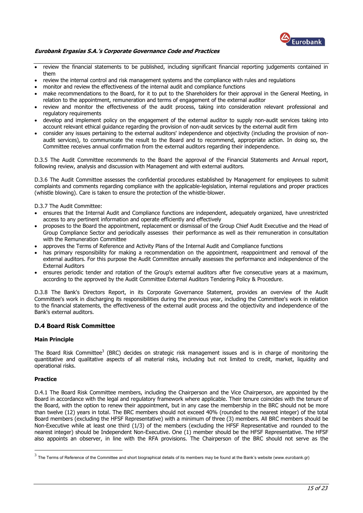

- review the financial statements to be published, including significant financial reporting judgements contained in them
- review the internal control and risk management systems and the compliance with rules and regulations
- monitor and review the effectiveness of the internal audit and compliance functions
- make recommendations to the Board, for it to put to the Shareholders for their approval in the General Meeting, in relation to the appointment, remuneration and terms of engagement of the external auditor
- review and monitor the effectiveness of the audit process, taking into consideration relevant professional and regulatory requirements
- develop and implement policy on the engagement of the external auditor to supply non-audit services taking into account relevant ethical guidance regarding the provision of non-audit services by the external audit firm
- consider any issues pertaining to the external auditors' independence and objectivity (including the provision of nonaudit services), to communicate the result to the Board and to recommend, appropriate action. In doing so, the Committee receives annual confirmation from the external auditors regarding their independence.

D.3.5 The Audit Committee recommends to the Board the approval of the Financial Statements and Annual report, following review, analysis and discussion with Management and with external auditors.

D.3.6 The Audit Committee assesses the confidential procedures established by Management for employees to submit complaints and comments regarding compliance with the applicable-legislation, internal regulations and proper practices (whistle blowing). Care is taken to ensure the protection of the whistle-blower.

D.3.7 The Audit Committee:

- ensures that the Internal Audit and Compliance functions are independent, adequately organized, have unrestricted access to any pertinent information and operate efficiently and effectively
- proposes to the Board the appointment, replacement or dismissal of the Group Chief Audit Executive and the Head of Group Compliance Sector and periodically assesses their performance as well as their remuneration in consultation with the Remuneration Committee
- approves the Terms of Reference and Activity Plans of the Internal Audit and Compliance functions
- has primary responsibility for making a recommendation on the appointment, reappointment and removal of the external auditors. For this purpose the Audit Committee annually assesses the performance and independence of the External Auditors
- ensures periodic tender and rotation of the Group's external auditors after five consecutive years at a maximum, according to the approved by the Audit Committee External Auditors Tendering Policy & Procedure.

D.3.8 The Bank's Directors Report, in its Corporate Governance Statement, provides an overview of the Audit Committee's work in discharging its responsibilities during the previous year, including the Committee's work in relation to the financial statements, the effectiveness of the external audit process and the objectivity and independence of the Bank's external auditors.

# <span id="page-14-0"></span>**D.4 Board Risk Committee**

#### **Main Principle**

The Board Risk Committee<sup>3</sup> (BRC) decides on strategic risk management issues and is in charge of monitoring the quantitative and qualitative aspects of all material risks, including but not limited to credit, market, liquidity and operational risks.

#### **Practice**

D.4.1 The Board Risk Committee members, including the Chairperson and the Vice Chairperson, are appointed by the Board in accordance with the legal and regulatory framework where applicable. Their tenure coincides with the tenure of the Board, with the option to renew their appointment, but in any case the membership in the BRC should not be more than twelve (12) years in total. The BRC members should not exceed 40% (rounded to the nearest integer) of the total Board members (excluding the HFSF Representative) with a minimum of three (3) members. All BRC members should be Non-Executive while at least one third (1/3) of the members (excluding the HFSF Representative and rounded to the nearest integer) should be Independent Non-Executive. One (1) member should be the HFSF Representative. The HFSF also appoints an observer, in line with the RFA provisions. The Chairperson of the BRC should not serve as the

 3 The Terms of Reference of the Committee and short biographical details of its members may be found at the Bank's website (www.eurobank.gr)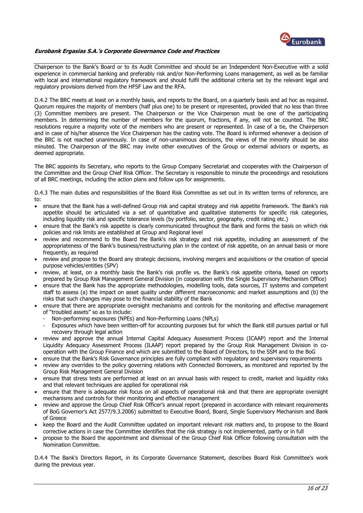

Chairperson to the Bank's Board or to its Audit Committee and should be an Independent Non-Executive with a solid experience in commercial banking and preferably risk and/or Non-Performing Loans management, as well as be familiar with local and international regulatory framework and should fulfil the additional criteria set by the relevant legal and regulatory provisions derived from the HFSF Law and the RFA.

D.4.2 The BRC meets at least on a monthly basis, and reports to the Board, on a quarterly basis and ad hoc as required. Quorum requires the majority of members (half plus one) to be present or represented, provided that no less than three (3) Committee members are present. The Chairperson or the Vice Chairperson must be one of the participating members. In determining the number of members for the quorum, fractions, if any, will not be counted. The BRC resolutions require a majority vote of the members who are present or represented. In case of a tie, the Chairperson and in case of his/her absence the Vice Chairperson has the casting vote. The Board is informed whenever a decision of the BRC is not reached unanimously. In case of non-unanimous decisions, the views of the minority should be also minuted. The Chairperson of the BRC may invite other executives of the Group or external advisors or experts, as deemed appropriate.

The BRC appoints its Secretary, who reports to the Group Company Secretariat and cooperates with the Chairperson of the Committee and the Group Chief Risk Officer. The Secretary is responsible to minute the proceedings and resolutions of all BRC meetings, including the action plans and follow ups for assignments.

D.4.3 The main duties and responsibilities of the Board Risk Committee as set out in its written terms of reference, are to:

- ensure that the Bank has a well-defined Group risk and capital strategy and risk appetite framework. The Bank's risk appetite should be articulated via a set of quantitative and qualitative statements for specific risk categories, including liquidity risk and specific tolerance levels (by portfolio, sector, geography, credit rating etc.)
- ensure that the Bank's risk appetite is clearly communicated throughout the Bank and forms the basis on which risk policies and risk limits are established at Group and Regional level
- review and recommend to the Board the Bank's risk strategy and risk appetite, including an assessment of the appropriateness of the Bank's business/restructuring plan in the context of risk appetite, on an annual basis or more frequently, as required
- review and propose to the Board any strategic decisions, involving mergers and acquisitions or the creation of special purpose vehicles/entities (SPV)
- review, at least, on a monthly basis the Bank's risk profile vs. the Bank's risk appetite criteria, based on reports prepared by Group Risk Management General Division (in cooperation with the Single Supervisory Mechanism Office)
- ensure that the Bank has the appropriate methodologies, modelling tools, data sources, IT systems and competent staff to assess (a) the impact on asset quality under different macroeconomic and market assumptions and (b) the risks that such changes may pose to the financial stability of the Bank
- ensure that there are appropriate oversight mechanisms and controls for the monitoring and effective management of "troubled assets" so as to include:
	- Non-performing exposures (NPEs) and Non-Performing Loans (NPLs)
	- Exposures which have been written-off for accounting purposes but for which the Bank still pursues partial or full recovery through legal action
- review and approve the annual Internal Capital Adequacy Assessment Process (ICAAP) report and the Internal Liquidity Adequacy Assessment Process (ILAAP) report prepared by the Group Risk Management Division in cooperation with the Group Finance and which are submitted to the Board of Directors, to the SSM and to the BoG
- ensure that the Bank's Risk Governance principles are fully compliant with regulatory and supervisory requirements
- review any overrides to the policy governing relations with Connected Borrowers, as monitored and reported by the Group Risk Management General Division
- ensure that stress tests are performed at least on an annual basis with respect to credit, market and liquidity risks and that relevant techniques are applied for operational risk
- ensure that there is adequate risk focus on all aspects of operational risk and that there are appropriate oversight mechanisms and controls for their monitoring and effective management
- review and approve the Group Chief Risk Officer's annual report (prepared in accordance with relevant requirements of BoG Governor's Act 2577/9.3.2006) submitted to Executive Board, Board, Single Supervisory Mechanism and Bank of Greece
- keep the Board and the Audit Committee updated on important relevant risk matters and, to propose to the Board corrective actions in case the Committee identifies that the risk strategy is not implemented, partly or in full
- propose to the Board the appointment and dismissal of the Group Chief Risk Officer following consultation with the Nomination Committee.

D.4.4 The Bank's Directors Report, in its Corporate Governance Statement, describes Board Risk Committee's work during the previous year.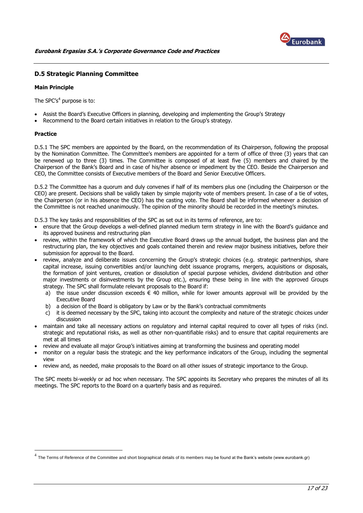

# <span id="page-16-0"></span>**D.5 Strategic Planning Committee**

#### **Main Principle**

The SPC's $4$  purpose is to:

- Assist the Board's Executive Officers in planning, developing and implementing the Group's Strategy
- Recommend to the Board certain initiatives in relation to the Group's strategy.

# **Practice**

<u>.</u>

D.5.1 The SPC members are appointed by the Board, on the recommendation of its Chairperson, following the proposal by the Nomination Committee. The Committee's members are appointed for a term of office of three (3) years that can be renewed up to three (3) times. The Committee is composed of at least five (5) members and chaired by the Chairperson of the Bank's Board and in case of his/her absence or impediment by the CEO. Beside the Chairperson and CEO, the Committee consists of Executive members of the Board and Senior Executive Officers.

D.5.2 The Committee has a quorum and duly convenes if half of its members plus one (including the Chairperson or the CEO) are present. Decisions shall be validly taken by simple majority vote of members present. In case of a tie of votes, the Chairperson (or in his absence the CEO) has the casting vote. The Board shall be informed whenever a decision of the Committee is not reached unanimously. The opinion of the minority should be recorded in the meeting's minutes.

D.5.3 The key tasks and responsibilities of the SPC as set out in its terms of reference, are to:

- ensure that the Group develops a well-defined planned medium term strategy in line with the Board's guidance and its approved business and restructuring plan
- review, within the framework of which the Executive Board draws up the annual budget, the business plan and the restructuring plan, the key objectives and goals contained therein and review major business initiatives, before their submission for approval to the Board.
- review, analyze and deliberate issues concerning the Group's strategic choices (e.g. strategic partnerships, share capital increase, issuing convertibles and/or launching debt issuance programs, mergers, acquisitions or disposals, the formation of joint ventures, creation or dissolution of special purpose vehicles, dividend distribution and other major investments or disinvestments by the Group etc.), ensuring these being in line with the approved Groups strategy. The SPC shall formulate relevant proposals to the Board if:
	- a) the issue under discussion exceeds  $\epsilon$  40 million, while for lower amounts approval will be provided by the Executive Board
	- b) a decision of the Board is obligatory by Law or by the Bank's contractual commitments
	- c) it is deemed necessary by the SPC, taking into account the complexity and nature of the strategic choices under discussion
- maintain and take all necessary actions on regulatory and internal capital required to cover all types of risks (incl. strategic and reputational risks, as well as other non-quantifiable risks) and to ensure that capital requirements are met at all times
- review and evaluate all major Group's initiatives aiming at transforming the business and operating model
- monitor on a regular basis the strategic and the key performance indicators of the Group, including the segmental view
- review and, as needed, make proposals to the Board on all other issues of strategic importance to the Group.

The SPC meets bi-weekly or ad hoc when necessary. The SPC appoints its Secretary who prepares the minutes of all its meetings. The SPC reports to the Board on a quarterly basis and as required.

 $^4$  The Terms of Reference of the Committee and short biographical details of its members may be found at the Bank's website (www.eurobank.gr)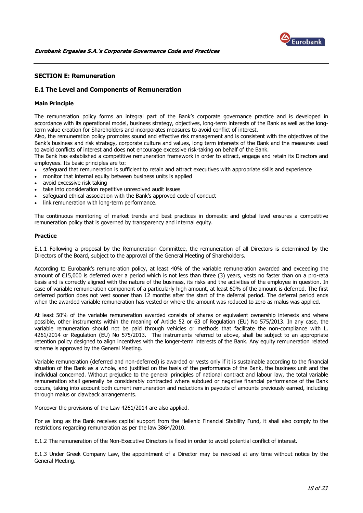

### <span id="page-17-0"></span>**SECTION E: Remuneration**

# <span id="page-17-1"></span>**E.1 The Level and Components of Remuneration**

# **Main Principle**

The remuneration policy forms an integral part of the Bank's corporate governance practice and is developed in accordance with its operational model, business strategy, objectives, long-term interests of the Bank as well as the longterm value creation for Shareholders and incorporates measures to avoid conflict of interest.

Also, the remuneration policy promotes sound and effective risk management and is consistent with the objectives of the Bank's business and risk strategy, corporate culture and values, long term interests of the Bank and the measures used to avoid conflicts of interest and does not encourage excessive risk-taking on behalf of the Bank.

The Bank has established a competitive remuneration framework in order to attract, engage and retain its Directors and employees. Its basic principles are to:

- safeguard that remuneration is sufficient to retain and attract executives with appropriate skills and experience
- monitor that internal equity between business units is applied
- avoid excessive risk taking
- take into consideration repetitive unresolved audit issues
- safeguard ethical association with the Bank's approved code of conduct
- link remuneration with long-term performance.

The continuous monitoring of market trends and best practices in domestic and global level ensures a competitive remuneration policy that is governed by transparency and internal equity.

#### **Practice**

E.1.1 Following a proposal by the Remuneration Committee, the remuneration of all Directors is determined by the Directors of the Board, subject to the approval of the General Meeting of Shareholders.

According to Eurobank's remuneration policy, at least 40% of the variable remuneration awarded and exceeding the amount of €15,000 is deferred over a period which is not less than three (3) years, vests no faster than on a pro-rata basis and is correctly aligned with the nature of the business, its risks and the activities of the employee in question. In case of variable remuneration component of a particularly high amount, at least 60% of the amount is deferred. The first deferred portion does not vest sooner than 12 months after the start of the deferral period. The deferral period ends when the awarded variable remuneration has vested or where the amount was reduced to zero as malus was applied.

At least 50% of the variable remuneration awarded consists of shares or equivalent ownership interests and where possible, other instruments within the meaning of Article 52 or 63 of Regulation (EU) No 575/2013. In any case, the variable remuneration should not be paid through vehicles or methods that facilitate the non-compliance with L. 4261/2014 or Regulation (EU) No 575/2013. The instruments referred to above, shall be subject to an appropriate retention policy designed to align incentives with the longer-term interests of the Bank. Any equity remuneration related scheme is approved by the General Meeting.

Variable remuneration (deferred and non-deferred) is awarded or vests only if it is sustainable according to the financial situation of the Bank as a whole, and justified on the basis of the performance of the Bank, the business unit and the individual concerned. Without prejudice to the general principles of national contract and labour law, the total variable remuneration shall generally be considerably contracted where subdued or negative financial performance of the Bank occurs, taking into account both current remuneration and reductions in payouts of amounts previously earned, including through malus or clawback arrangements.

Moreover the provisions of the Law 4261/2014 are also applied.

For as long as the Bank receives capital support from the Hellenic Financial Stability Fund, it shall also comply to the restrictions regarding remuneration as per the law 3864/2010.

E.1.2 The remuneration of the Non-Executive Directors is fixed in order to avoid potential conflict of interest.

E.1.3 Under Greek Company Law, the appointment of a Director may be revoked at any time without notice by the General Meeting.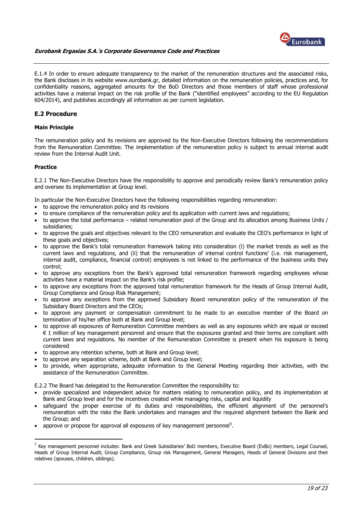

E.1.4 In order to ensure adequate transparency to the market of the remuneration structures and the associated risks, the Bank discloses in its website www.eurobank.gr, detailed information on the remuneration policies, practices and, for confidentiality reasons, aggregated amounts for the BoD Directors and those members of staff whose professional activities have a material impact on the risk profile of the Bank ("identified employees" according to the EU Regulation 604/2014), and publishes accordingly all information as per current legislation.

# <span id="page-18-0"></span>**E.2 Procedure**

### **Main Principle**

The remuneration policy and its revisions are approved by the Non-Executive Directors following the recommendations from the Remuneration Committee. The implementation of the remuneration policy is subject to annual internal audit review from the Internal Audit Unit.

# **Practice**

1

E.2.1 The Non-Executive Directors have the responsibility to approve and periodically review Bank's remuneration policy and oversee its implementation at Group level.

In particular the Non-Executive Directors have the following responsibilities regarding remuneration:

- to approve the remuneration policy and its revisions
- to ensure compliance of the remuneration policy and its application with current laws and regulations;
- to approve the total performance related remuneration pool of the Group and its allocation among Business Units / subsidiaries;
- to approve the goals and objectives relevant to the CEO remuneration and evaluate the CEO's performance in light of these goals and objectives;
- to approve the Bank's total remuneration framework taking into consideration (i) the market trends as well as the current laws and regulations, and (ii) that the remuneration of internal control functions' (i.e. risk management, internal audit, compliance, financial control) employees is not linked to the performance of the business units they control;
- to approve any exceptions from the Bank's approved total remuneration framework regarding employees whose activities have a material impact on the Bank's risk profile;
- to approve any exceptions from the approved total remuneration framework for the Heads of Group Internal Audit, Group Compliance and Group Risk Management;
- to approve any exceptions from the approved Subsidiary Board remuneration policy of the remuneration of the Subsidiary Board Directors and the CEOs;
- to approve any payment or compensation commitment to be made to an executive member of the Board on termination of his/her office both at Bank and Group level;
- to approve all exposures of Remuneration Committee members as well as any exposures which are equal or exceed € 1 million of key management personnel and ensure that the exposures granted and their terms are compliant with current laws and regulations. No member of the Remuneration Committee is present when his exposure is being considered
- to approve any retention scheme, both at Bank and Group level;
- to approve any separation scheme, both at Bank and Group level;
- to provide, when appropriate, adequate information to the General Meeting regarding their activities, with the assistance of the Remuneration Committee.

E.2.2 The Board has delegated to the Remuneration Committee the responsibility to:

- provide specialized and independent advice for matters relating to remuneration policy, and its implementation at Bank and Group level and for the incentives created while managing risks, capital and liquidity
- safeguard the proper exercise of its duties and responsibilities, the efficient alignment of the personnel's remuneration with the risks the Bank undertakes and manages and the required alignment between the Bank and the Group; and
- approve or propose for approval all exposures of key management personnel<sup>5</sup>.

<sup>&</sup>lt;sup>5</sup> Key management personnel includes: Bank and Greek Subsidiaries' BoD members, Executive Board (ExBo) members, Legal Counsel, Heads of Group Internal Audit, Group Compliance, Group risk Management, General Managers, Heads of General Divisions and their relatives (spouses, children, siblings).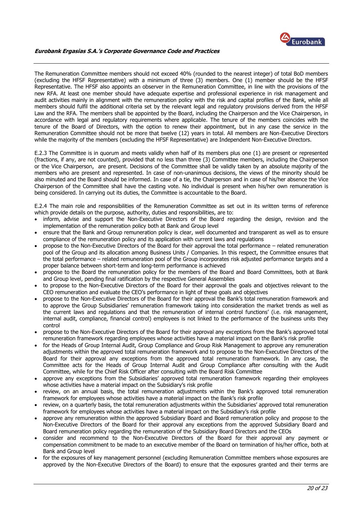

The Remuneration Committee members should not exceed 40% (rounded to the nearest integer) of total BoD members (excluding the HFSF Representative) with a minimum of three (3) members. One (1) member should be the HFSF Representative. The HFSF also appoints an observer in the Remuneration Committee, in line with the provisions of the new RFA. At least one member should have adequate expertise and professional experience in risk management and audit activities mainly in alignment with the remuneration policy with the risk and capital profiles of the Bank, while all members should fulfil the additional criteria set by the relevant legal and regulatory provisions derived from the HFSF Law and the RFA. The members shall be appointed by the Board, including the Chairperson and the Vice Chairperson, in accordance with legal and regulatory requirements where applicable. The tenure of the members coincides with the tenure of the Board of Directors, with the option to renew their appointment, but in any case the service in the Remuneration Committee should not be more that twelve (12) years in total. All members are Non-Executive Directors while the majority of the members (excluding the HFSF Representative) are Independent Non-Executive Directors.

E.2.3 The Committee is in quorum and meets validly when half of its members plus one (1) are present or represented (fractions, if any, are not counted), provided that no less than three (3) Committee members, including the Chairperson or the Vice Chairperson, are present. Decisions of the Committee shall be validly taken by an absolute majority of the members who are present and represented. In case of non-unanimous decisions, the views of the minority should be also minuted and the Board should be informed. In case of a tie, the Chairperson and in case of his/her absence the Vice Chairperson of the Committee shall have the casting vote. No individual is present when his/her own remuneration is being considered. In carrying out its duties, the Committee is accountable to the Board.

E.2.4 The main role and responsibilities of the Remuneration Committee as set out in its written terms of reference which provide details on the purpose, authority, duties and responsibilities, are to:

- inform, advise and support the Non-Executive Directors of the Board regarding the design, revision and the implementation of the remuneration policy both at Bank and Group level
- ensure that the Bank and Group remuneration policy is clear, well documented and transparent as well as to ensure compliance of the remuneration policy and its application with current laws and regulations
- propose to the Non-Executive Directors of the Board for their approval the total performance related remuneration pool of the Group and its allocation among Business Units / Companies. In this respect, the Committee ensures that the total performance – related remuneration pool of the Group incorporates risk adjusted performance targets and a proper balance between short-term and long-term performance is achieved
- propose to the Board the remuneration policy for the members of the Board and Board Committees, both at Bank and Group level, pending final ratification by the respective General Assemblies
- to propose to the Non-Executive Directors of the Board for their approval the goals and objectives relevant to the CEO remuneration and evaluate the CEO's performance in light of these goals and objectives
- propose to the Non-Executive Directors of the Board for their approval the Bank's total remuneration framework and to approve the Group Subsidiaries' remuneration framework taking into consideration the market trends as well as the current laws and regulations and that the remuneration of internal control functions' (i.e. risk management, internal audit, compliance, financial control) employees is not linked to the performance of the business units they control
- propose to the Non-Executive Directors of the Board for their approval any exceptions from the Bank's approved total remuneration framework regarding employees whose activities have a material impact on the Bank's risk profile
- for the Heads of Group Internal Audit, Group Compliance and Group Risk Management to approve any remuneration adjustments within the approved total remuneration framework and to propose to the Non-Executive Directors of the Board for their approval any exceptions from the approved total remuneration framework. In any case, the Committee acts for the Heads of Group Internal Audit and Group Compliance after consulting with the Audit Committee, while for the Chief Risk Officer after consulting with the Board Risk Committee
- approve any exceptions from the Subsidiaries' approved total remuneration framework regarding their employees whose activities have a material impact on the Subsidiary's risk profile
- review, on an annual basis, the total remuneration adjustments within the Bank's approved total remuneration framework for employees whose activities have a material impact on the Bank's risk profile
- review, on a quarterly basis, the total remuneration adjustments within the Subsidiaries' approved total remuneration framework for employees whose activities have a material impact on the Subsidiary's risk profile
- approve any remuneration within the approved Subsidiary Board and Board remuneration policy and propose to the Non-Executive Directors of the Board for their approval any exceptions from the approved Subsidiary Board and Board remuneration policy regarding the remuneration of the Subsidiary Board Directors and the CEOs
- consider and recommend to the Non-Executive Directors of the Board for their approval any payment or compensation commitment to be made to an executive member of the Board on termination of his/her office, both at Bank and Group level
- for the exposures of key management personnel (excluding Remuneration Committee members whose exposures are approved by the Non-Executive Directors of the Board) to ensure that the exposures granted and their terms are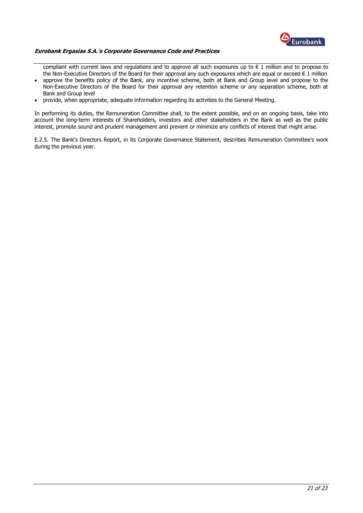

compliant with current laws and regulations and to approve all such exposures up to  $\epsilon$  1 million and to propose to the Non-Executive Directors of the Board for their approval any such exposures which are equal or exceed  $\epsilon$  1 million

- approve the benefits policy of the Bank, any incentive scheme, both at Bank and Group level and propose to the Non-Executive Directors of the Board for their approval any retention scheme or any separation scheme, both at Bank and Group level
- provide, when appropriate, adequate information regarding its activities to the General Meeting.

In performing its duties, the Remuneration Committee shall, to the extent possible, and on an ongoing basis, take into account the long-term interests of Shareholders, investors and other stakeholders in the Bank as well as the public interest, promote sound and prudent management and prevent or minimize any conflicts of interest that might arise.

E.2.5. The Bank's Directors Report, in its Corporate Governance Statement, describes Remuneration Committee's work during the previous year.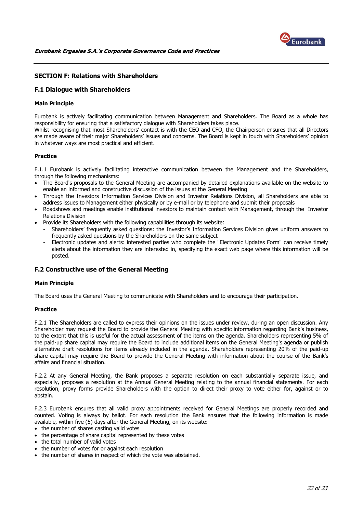

# <span id="page-21-0"></span>**SECTION F: Relations with Shareholders**

# <span id="page-21-1"></span>**F.1 Dialogue with Shareholders**

#### **Main Principle**

Eurobank is actively facilitating communication between Management and Shareholders. The Board as a whole has responsibility for ensuring that a satisfactory dialogue with Shareholders takes place.

Whilst recognising that most Shareholders' contact is with the CEO and CFO, the Chairperson ensures that all Directors are made aware of their major Shareholders' issues and concerns. The Board is kept in touch with Shareholders' opinion in whatever ways are most practical and efficient.

# **Practice**

F.1.1 Eurobank is actively facilitating interactive communication between the Management and the Shareholders, through the following mechanisms:

- The Board's proposals to the General Meeting are accompanied by detailed explanations available on the website to enable an informed and constructive discussion of the issues at the General Meeting
- Through the Investors Information Services Division and Investor Relations Division, all Shareholders are able to address issues to Management either physically or by e-mail or by telephone and submit their proposals
- Roadshows and meetings enable institutional investors to maintain contact with Management, through the Investor Relations Division
- Provide its Shareholders with the following capabilities through its website:
	- Shareholders' frequently asked questions: the Investor's Information Services Division gives uniform answers to frequently asked questions by the Shareholders on the same subject
	- Electronic updates and alerts: interested parties who complete the "Electronic Updates Form" can receive timely alerts about the information they are interested in, specifying the exact web page where this information will be posted.

#### <span id="page-21-2"></span>**F.2 Constructive use of the General Meeting**

#### **Main Principle**

The Board uses the General Meeting to communicate with Shareholders and to encourage their participation.

#### **Practice**

F.2.1 The Shareholders are called to express their opinions on the issues under review, during an open discussion. Any Shareholder may request the Board to provide the General Meeting with specific information regarding Bank's business, to the extent that this is useful for the actual assessment of the items on the agenda. Shareholders representing 5% of the paid-up share capital may require the Board to include additional items on the General Meeting's agenda or publish alternative draft resolutions for items already included in the agenda. Shareholders representing 20% of the paid-up share capital may require the Board to provide the General Meeting with information about the course of the Bank's affairs and financial situation.

F.2.2 At any General Meeting, the Bank proposes a separate resolution on each substantially separate issue, and especially, proposes a resolution at the Annual General Meeting relating to the annual financial statements. For each resolution, proxy forms provide Shareholders with the option to direct their proxy to vote either for, against or to abstain.

F.2.3 Eurobank ensures that all valid proxy appointments received for General Meetings are properly recorded and counted. Voting is always by ballot. For each resolution the Bank ensures that the following information is made available, within five (5) days after the General Meeting, on its website:

- the number of shares casting valid votes
- the percentage of share capital represented by these votes
- the total number of valid votes
- the number of votes for or against each resolution
- the number of shares in respect of which the vote was abstained.